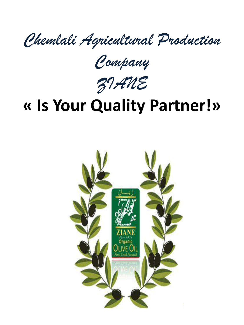*Chemlali Agricultural Production* 

*Company*

*ZIANE*

# **« Is Your Quality Partner!»**

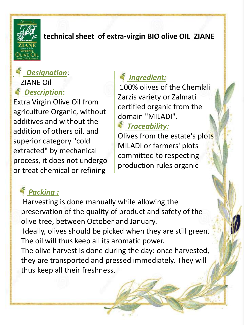

### **technical sheet of extra-virgin BIO olive OIL ZIANE**

## *Designation*: ZIANE Oil *Description***:**

Extra Virgin Olive Oil from agriculture Organic, without additives and without the addition of others oil, and superior category "cold extracted" by mechanical process, it does not undergo or treat chemical or refining

## *Ingredient:*

100% olives of the Chemlali Zarzis variety or Zalmati certified organic from the domain "MILADI".

## *Traceability:*

Olives from the estate's plots MILADI or farmers' plots committed to respecting production rules organic

# *Packing :*

Harvesting is done manually while allowing the preservation of the quality of product and safety of the olive tree, between October and January. Ideally, olives should be picked when they are still green. The oil will thus keep all its aromatic power. The olive harvest is done during the day: once harvested, they are transported and pressed immediately. They will thus keep all their freshness.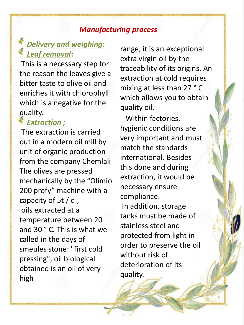#### *Manufacturing process*

## *Delivery and weighing: Leaf removal***:**

This is a necessary step for the reason the leaves give a bitter taste to olive oil and enriches it with chlorophyll which is a negative for the quality.

### *Extraction ;*

The extraction is carried out in a modern oil mill by unit of organic production from the company Chemlali The olives are pressed mechanically by the "Olimio 200 profy" machine with a capacity of 5t / d , oils extracted at a temperature between 20 and 30 ° C. This is what we called in the days of smeules stone: "first cold pressing", oil biological obtained is an oil of very high

range, it is an exceptional extra virgin oil by the traceability of its origins. An extraction at cold requires mixing at less than 27 ° C which allows you to obtain quality oil.

Within factories, hygienic conditions are very important and must match the standards international. Besides this done and during extraction, it would be necessary ensure compliance. In addition, storage tanks must be made of stainless steel and protected from light in order to preserve the oil without risk of deterioration of its quality.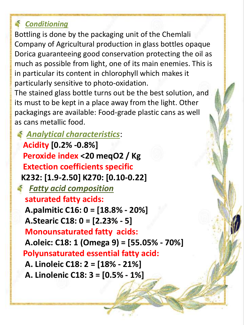## *Conditioning*

Bottling is done by the packaging unit of the Chemlali Company of Agricultural production in glass bottles opaque Dorica guaranteeing good conservation protecting the oil as much as possible from light, one of its main enemies. This is in particular its content in chlorophyll which makes it particularly sensitive to photo-oxidation.

The stained glass bottle turns out be the best solution, and its must to be kept in a place away from the light. Other packagings are available: Food-grade plastic cans as well as cans metallic food.

*Analytical characteristics*:

**Acidity [0.2% -0.8%] Peroxide index <20 meqO2 / Kg Extection coefficients specific K232: [1.9-2.50] K270: [0.10-0.22]** *Fatty acid composition*  **saturated fatty acids: A.palmitic C16: 0 = [18.8% - 20%] A.Stearic C18: 0 = [2.23% - 5] Monounsaturated fatty acids: A.oleic: C18: 1 (Omega 9) = [55.05% - 70%] Polyunsaturated essential fatty acid: A. Linoleic C18: 2 = [18% - 21%] A. Linolenic C18: 3 = [0.5% - 1%]**